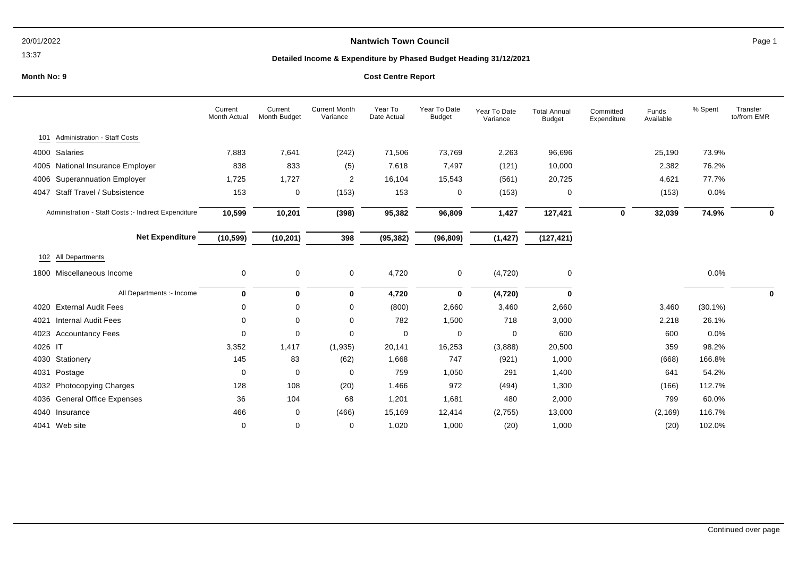### 13:37

# **Nantwich Town Council Page 1**

# **Detailed Income & Expenditure by Phased Budget Heading 31/12/2021**

|                                                      | Current<br>Month Actual | Current<br>Month Budget | <b>Current Month</b><br>Variance | Year To<br>Date Actual | Year To Date<br><b>Budget</b> | Year To Date<br>Variance | <b>Total Annual</b><br><b>Budget</b> | Committed<br>Expenditure | Funds<br>Available | % Spent    | Transfer<br>to/from EMR |
|------------------------------------------------------|-------------------------|-------------------------|----------------------------------|------------------------|-------------------------------|--------------------------|--------------------------------------|--------------------------|--------------------|------------|-------------------------|
| Administration - Staff Costs<br>101                  |                         |                         |                                  |                        |                               |                          |                                      |                          |                    |            |                         |
| 4000 Salaries                                        | 7,883                   | 7,641                   | (242)                            | 71,506                 | 73,769                        | 2,263                    | 96,696                               |                          | 25,190             | 73.9%      |                         |
| 4005 National Insurance Employer                     | 838                     | 833                     | (5)                              | 7,618                  | 7,497                         | (121)                    | 10,000                               |                          | 2,382              | 76.2%      |                         |
| <b>Superannuation Employer</b><br>4006               | 1,725                   | 1,727                   | 2                                | 16,104                 | 15,543                        | (561)                    | 20,725                               |                          | 4,621              | 77.7%      |                         |
| Staff Travel / Subsistence<br>4047                   | 153                     | 0                       | (153)                            | 153                    | 0                             | (153)                    | $\Omega$                             |                          | (153)              | 0.0%       |                         |
| Administration - Staff Costs :- Indirect Expenditure | 10,599                  | 10,201                  | (398)                            | 95,382                 | 96,809                        | 1,427                    | 127,421                              | 0                        | 32,039             | 74.9%      | 0                       |
| <b>Net Expenditure</b>                               | (10, 599)               | (10, 201)               | 398                              | (95, 382)              | (96, 809)                     | (1, 427)                 | (127, 421)                           |                          |                    |            |                         |
| All Departments<br>102                               |                         |                         |                                  |                        |                               |                          |                                      |                          |                    |            |                         |
| 1800 Miscellaneous Income                            | 0                       | $\mathbf 0$             | 0                                | 4,720                  | 0                             | (4,720)                  | 0                                    |                          |                    | 0.0%       |                         |
| All Departments :- Income                            | $\bf{0}$                | $\bf{0}$                | 0                                | 4,720                  | $\bf{0}$                      | (4, 720)                 | 0                                    |                          |                    |            | 0                       |
| 4020 External Audit Fees                             | 0                       | 0                       | 0                                | (800)                  | 2,660                         | 3,460                    | 2,660                                |                          | 3,460              | $(30.1\%)$ |                         |
| <b>Internal Audit Fees</b><br>4021                   | $\mathbf 0$             | 0                       | 0                                | 782                    | 1,500                         | 718                      | 3,000                                |                          | 2,218              | 26.1%      |                         |
| 4023 Accountancy Fees                                | 0                       | 0                       | $\Omega$                         | 0                      | 0                             | $\Omega$                 | 600                                  |                          | 600                | 0.0%       |                         |
| 4026 IT                                              | 3,352                   | 1,417                   | (1,935)                          | 20,141                 | 16,253                        | (3,888)                  | 20,500                               |                          | 359                | 98.2%      |                         |
| 4030 Stationery                                      | 145                     | 83                      | (62)                             | 1,668                  | 747                           | (921)                    | 1,000                                |                          | (668)              | 166.8%     |                         |
| 4031 Postage                                         | 0                       | 0                       | $\Omega$                         | 759                    | 1,050                         | 291                      | 1,400                                |                          | 641                | 54.2%      |                         |
| 4032 Photocopying Charges                            | 128                     | 108                     | (20)                             | 1,466                  | 972                           | (494)                    | 1,300                                |                          | (166)              | 112.7%     |                         |
| 4036 General Office Expenses                         | 36                      | 104                     | 68                               | 1,201                  | 1,681                         | 480                      | 2,000                                |                          | 799                | 60.0%      |                         |
| 4040 Insurance                                       | 466                     | 0                       | (466)                            | 15,169                 | 12,414                        | (2,755)                  | 13,000                               |                          | (2, 169)           | 116.7%     |                         |
| 4041 Web site                                        | 0                       | 0                       | 0                                | 1,020                  | 1,000                         | (20)                     | 1,000                                |                          | (20)               | 102.0%     |                         |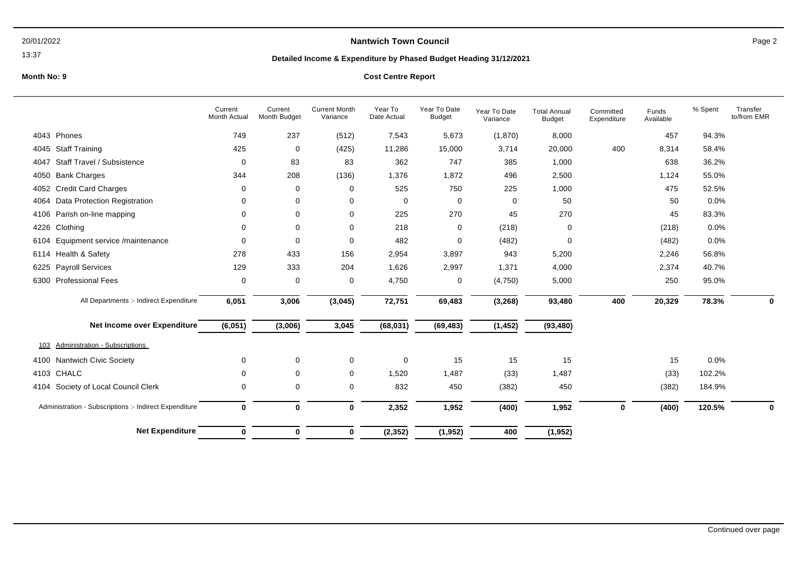### 13:37

# **Nantwich Town Council Page 2**

# **Detailed Income & Expenditure by Phased Budget Heading 31/12/2021**

## **Month No: 9 Cost Centre Report**

|                                                        | Current<br>Month Actual | Current<br>Month Budget | <b>Current Month</b><br>Variance | Year To<br>Date Actual | Year To Date<br><b>Budget</b> | Year To Date<br>Variance | <b>Total Annual</b><br>Budget | Committed<br>Expenditure | Funds<br>Available | % Spent | Transfer<br>to/from EMR |
|--------------------------------------------------------|-------------------------|-------------------------|----------------------------------|------------------------|-------------------------------|--------------------------|-------------------------------|--------------------------|--------------------|---------|-------------------------|
| 4043 Phones                                            | 749                     | 237                     | (512)                            | 7,543                  | 5,673                         | (1,870)                  | 8,000                         |                          | 457                | 94.3%   |                         |
| <b>Staff Training</b><br>4045                          | 425                     | $\mathbf 0$             | (425)                            | 11,286                 | 15,000                        | 3,714                    | 20,000                        | 400                      | 8,314              | 58.4%   |                         |
| Staff Travel / Subsistence<br>4047                     | 0                       | 83                      | 83                               | 362                    | 747                           | 385                      | 1,000                         |                          | 638                | 36.2%   |                         |
| <b>Bank Charges</b><br>4050                            | 344                     | 208                     | (136)                            | 1,376                  | 1,872                         | 496                      | 2,500                         |                          | 1,124              | 55.0%   |                         |
| <b>Credit Card Charges</b><br>4052                     | 0                       | 0                       | 0                                | 525                    | 750                           | 225                      | 1,000                         |                          | 475                | 52.5%   |                         |
| <b>Data Protection Registration</b><br>4064            | 0                       | 0                       | 0                                | $\mathbf 0$            | 0                             | 0                        | 50                            |                          | 50                 | 0.0%    |                         |
| 4106 Parish on-line mapping                            | 0                       | 0                       | 0                                | 225                    | 270                           | 45                       | 270                           |                          | 45                 | 83.3%   |                         |
| Clothing<br>4226                                       | 0                       | 0                       | 0                                | 218                    | 0                             | (218)                    | 0                             |                          | (218)              | 0.0%    |                         |
| Equipment service /maintenance<br>6104                 | $\Omega$                | $\Omega$                | 0                                | 482                    | 0                             | (482)                    | 0                             |                          | (482)              | 0.0%    |                         |
| Health & Safety<br>6114                                | 278                     | 433                     | 156                              | 2,954                  | 3,897                         | 943                      | 5,200                         |                          | 2,246              | 56.8%   |                         |
| <b>Payroll Services</b><br>6225                        | 129                     | 333                     | 204                              | 1,626                  | 2,997                         | 1,371                    | 4,000                         |                          | 2,374              | 40.7%   |                         |
| <b>Professional Fees</b><br>6300                       | 0                       | 0                       | 0                                | 4,750                  | 0                             | (4,750)                  | 5,000                         |                          | 250                | 95.0%   |                         |
| All Departments :- Indirect Expenditure                | 6,051                   | 3,006                   | (3,045)                          | 72,751                 | 69,483                        | (3, 268)                 | 93,480                        | 400                      | 20,329             | 78.3%   | $\bf{0}$                |
| Net Income over Expenditure                            | (6,051)                 | (3,006)                 | 3,045                            | (68, 031)              | (69, 483)                     | (1, 452)                 | (93, 480)                     |                          |                    |         |                         |
| Administration - Subscriptions<br>103                  |                         |                         |                                  |                        |                               |                          |                               |                          |                    |         |                         |
| Nantwich Civic Society<br>4100                         | 0                       | 0                       | 0                                | 0                      | 15                            | 15                       | 15                            |                          | 15                 | 0.0%    |                         |
| CHALC<br>4103                                          | 0                       | 0                       | 0                                | 1,520                  | 1,487                         | (33)                     | 1,487                         |                          | (33)               | 102.2%  |                         |
| Society of Local Council Clerk<br>4104                 | 0                       | 0                       | 0                                | 832                    | 450                           | (382)                    | 450                           |                          | (382)              | 184.9%  |                         |
| Administration - Subscriptions :- Indirect Expenditure | 0                       | $\bf{0}$                | 0                                | 2,352                  | 1,952                         | (400)                    | 1,952                         | 0                        | (400)              | 120.5%  | 0                       |
| <b>Net Expenditure</b>                                 | 0                       | 0                       | 0                                | (2, 352)               | (1, 952)                      | 400                      | (1, 952)                      |                          |                    |         |                         |

Continued over page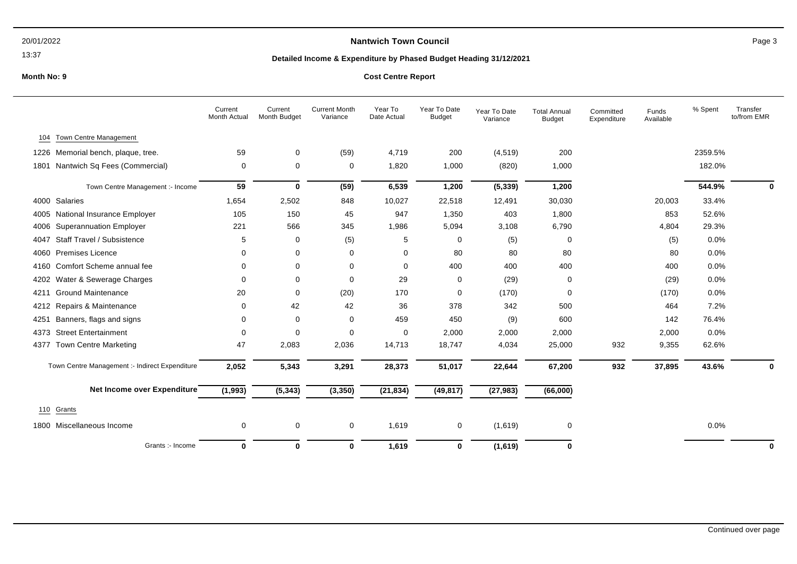### 13:37

# **Nantwich Town Council Page 3**

## **Detailed Income & Expenditure by Phased Budget Heading 31/12/2021**

|      |                                                | Current<br>Month Actual | Current<br>Month Budget | <b>Current Month</b><br>Variance | Year To<br>Date Actual | Year To Date<br><b>Budget</b> | Year To Date<br>Variance | <b>Total Annual</b><br><b>Budget</b> | Committed<br>Expenditure | Funds<br>Available | % Spent | Transfer<br>to/from EMR |
|------|------------------------------------------------|-------------------------|-------------------------|----------------------------------|------------------------|-------------------------------|--------------------------|--------------------------------------|--------------------------|--------------------|---------|-------------------------|
| 104  | <b>Town Centre Management</b>                  |                         |                         |                                  |                        |                               |                          |                                      |                          |                    |         |                         |
|      | 1226 Memorial bench, plaque, tree.             | 59                      | 0                       | (59)                             | 4,719                  | 200                           | (4, 519)                 | 200                                  |                          |                    | 2359.5% |                         |
| 1801 | Nantwich Sq Fees (Commercial)                  | 0                       | 0                       | 0                                | 1,820                  | 1,000                         | (820)                    | 1,000                                |                          |                    | 182.0%  |                         |
|      | Town Centre Management :- Income               | 59                      | 0                       | (59)                             | 6,539                  | 1,200                         | (5, 339)                 | 1,200                                |                          |                    | 544.9%  | 0                       |
| 4000 | Salaries                                       | 1,654                   | 2,502                   | 848                              | 10,027                 | 22,518                        | 12,491                   | 30,030                               |                          | 20,003             | 33.4%   |                         |
| 4005 | National Insurance Employer                    | 105                     | 150                     | 45                               | 947                    | 1,350                         | 403                      | 1,800                                |                          | 853                | 52.6%   |                         |
| 4006 | <b>Superannuation Employer</b>                 | 221                     | 566                     | 345                              | 1,986                  | 5,094                         | 3,108                    | 6,790                                |                          | 4,804              | 29.3%   |                         |
| 4047 | Staff Travel / Subsistence                     | 5                       | 0                       | (5)                              | 5                      | 0                             | (5)                      | 0                                    |                          | (5)                | 0.0%    |                         |
| 4060 | <b>Premises Licence</b>                        | $\Omega$                | $\mathbf 0$             | 0                                | $\Omega$               | 80                            | 80                       | 80                                   |                          | 80                 | 0.0%    |                         |
| 4160 | Comfort Scheme annual fee                      | $\Omega$                | $\Omega$                | 0                                | $\Omega$               | 400                           | 400                      | 400                                  |                          | 400                | 0.0%    |                         |
| 4202 | Water & Sewerage Charges                       | $\Omega$                | 0                       | 0                                | 29                     | 0                             | (29)                     | 0                                    |                          | (29)               | 0.0%    |                         |
| 4211 | <b>Ground Maintenance</b>                      | 20                      | 0                       | (20)                             | 170                    | 0                             | (170)                    | 0                                    |                          | (170)              | 0.0%    |                         |
| 4212 | Repairs & Maintenance                          | 0                       | 42                      | 42                               | 36                     | 378                           | 342                      | 500                                  |                          | 464                | 7.2%    |                         |
| 4251 | Banners, flags and signs                       | $\Omega$                | 0                       | 0                                | 459                    | 450                           | (9)                      | 600                                  |                          | 142                | 76.4%   |                         |
| 4373 | <b>Street Entertainment</b>                    | $\Omega$                | $\Omega$                | 0                                | $\mathbf 0$            | 2,000                         | 2,000                    | 2,000                                |                          | 2,000              | 0.0%    |                         |
| 4377 | <b>Town Centre Marketing</b>                   | 47                      | 2,083                   | 2,036                            | 14,713                 | 18,747                        | 4,034                    | 25,000                               | 932                      | 9,355              | 62.6%   |                         |
|      | Town Centre Management :- Indirect Expenditure | 2,052                   | 5,343                   | 3,291                            | 28,373                 | 51,017                        | 22,644                   | 67,200                               | 932                      | 37,895             | 43.6%   | $\mathbf{0}$            |
|      | Net Income over Expenditure                    | (1, 993)                | (5, 343)                | (3,350)                          | (21, 834)              | (49, 817)                     | (27, 983)                | (66,000)                             |                          |                    |         |                         |
| 110  | Grants                                         |                         |                         |                                  |                        |                               |                          |                                      |                          |                    |         |                         |
|      | 1800 Miscellaneous Income                      | 0                       | 0                       | 0                                | 1,619                  | 0                             | (1,619)                  | 0                                    |                          |                    | 0.0%    |                         |
|      | Grants :- Income                               | $\mathbf 0$             | $\bf{0}$                | $\bf{0}$                         | 1,619                  | 0                             | (1,619)                  | 0                                    |                          |                    |         | $\mathbf 0$             |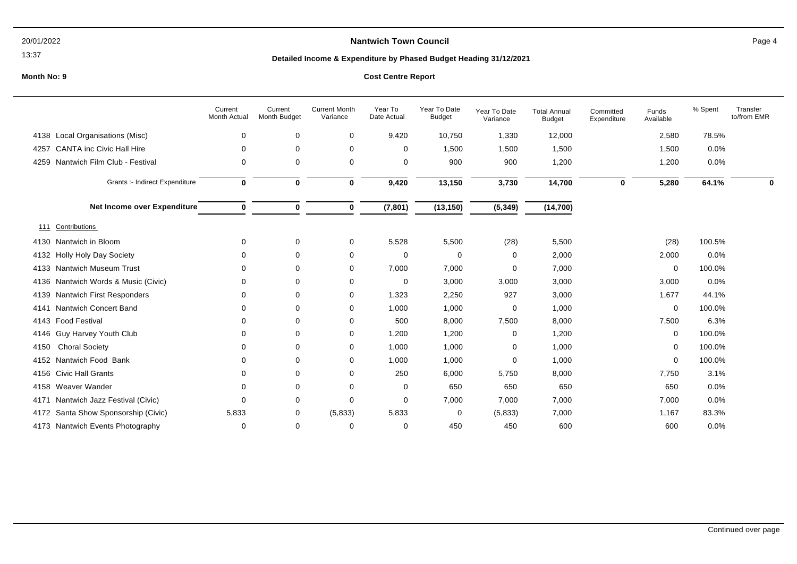### 13:37

# **Nantwich Town Council Page 4**

## **Detailed Income & Expenditure by Phased Budget Heading 31/12/2021**

|                                          | Current<br><b>Month Actual</b> | Current<br><b>Month Budget</b> | <b>Current Month</b><br>Variance | Year To<br>Date Actual | Year To Date<br><b>Budget</b> | Year To Date<br>Variance | <b>Total Annual</b><br>Budget | Committed<br>Expenditure | Funds<br>Available | % Spent | Transfer<br>to/from EMR |
|------------------------------------------|--------------------------------|--------------------------------|----------------------------------|------------------------|-------------------------------|--------------------------|-------------------------------|--------------------------|--------------------|---------|-------------------------|
| Local Organisations (Misc)<br>4138       | 0                              | 0                              | 0                                | 9,420                  | 10,750                        | 1,330                    | 12,000                        |                          | 2,580              | 78.5%   |                         |
| <b>CANTA inc Civic Hall Hire</b><br>4257 | 0                              | 0                              | 0                                | $\mathbf 0$            | 1,500                         | 1,500                    | 1,500                         |                          | 1,500              | 0.0%    |                         |
| Nantwich Film Club - Festival<br>4259    | 0                              | 0                              | 0                                | 0                      | 900                           | 900                      | 1,200                         |                          | 1,200              | 0.0%    |                         |
| Grants :- Indirect Expenditure           | $\bf{0}$                       | $\bf{0}$                       | $\bf{0}$                         | 9,420                  | 13,150                        | 3,730                    | 14,700                        | $\mathbf{0}$             | 5,280              | 64.1%   | 0                       |
| Net Income over Expenditure              | $\bf{0}$                       | $\mathbf 0$                    | $\mathbf 0$                      | (7, 801)               | (13, 150)                     | (5, 349)                 | (14, 700)                     |                          |                    |         |                         |
| <b>Contributions</b><br>111              |                                |                                |                                  |                        |                               |                          |                               |                          |                    |         |                         |
| Nantwich in Bloom<br>4130                | $\mathbf 0$                    | 0                              | 0                                | 5,528                  | 5,500                         | (28)                     | 5,500                         |                          | (28)               | 100.5%  |                         |
| <b>Holly Holy Day Society</b><br>4132    | 0                              | 0                              | 0                                | $\Omega$               | 0                             | 0                        | 2,000                         |                          | 2,000              | 0.0%    |                         |
| <b>Nantwich Museum Trust</b><br>4133     | $\Omega$                       | 0                              | 0                                | 7,000                  | 7,000                         | 0                        | 7,000                         |                          | 0                  | 100.0%  |                         |
| Nantwich Words & Music (Civic)<br>4136   | $\Omega$                       | 0                              | 0                                | 0                      | 3,000                         | 3,000                    | 3,000                         |                          | 3,000              | 0.0%    |                         |
| Nantwich First Responders<br>4139        | 0                              | 0                              | 0                                | 1,323                  | 2,250                         | 927                      | 3,000                         |                          | 1,677              | 44.1%   |                         |
| <b>Nantwich Concert Band</b><br>4141     | 0                              | 0                              | 0                                | 1,000                  | 1,000                         | 0                        | 1,000                         |                          | 0                  | 100.0%  |                         |
| <b>Food Festival</b><br>4143             | 0                              | 0                              | 0                                | 500                    | 8,000                         | 7,500                    | 8,000                         |                          | 7,500              | 6.3%    |                         |
| Guy Harvey Youth Club<br>4146            |                                | $\Omega$                       | 0                                | 1,200                  | 1,200                         | 0                        | 1,200                         |                          | 0                  | 100.0%  |                         |
| <b>Choral Society</b><br>4150            | <sup>0</sup>                   | 0                              | 0                                | 1,000                  | 1,000                         | 0                        | 1,000                         |                          | 0                  | 100.0%  |                         |
| Nantwich Food Bank<br>4152               | 0                              | 0                              | 0                                | 1,000                  | 1,000                         | 0                        | 1,000                         |                          | 0                  | 100.0%  |                         |
| <b>Civic Hall Grants</b><br>4156         | 0                              | 0                              | 0                                | 250                    | 6,000                         | 5,750                    | 8,000                         |                          | 7,750              | 3.1%    |                         |
| Weaver Wander<br>4158                    | 0                              | 0                              | 0                                | 0                      | 650                           | 650                      | 650                           |                          | 650                | 0.0%    |                         |
| Nantwich Jazz Festival (Civic)<br>4171   | 0                              | 0                              | 0                                | 0                      | 7,000                         | 7,000                    | 7,000                         |                          | 7,000              | 0.0%    |                         |
| Santa Show Sponsorship (Civic)<br>4172   | 5,833                          | 0                              | (5,833)                          | 5,833                  | 0                             | (5,833)                  | 7,000                         |                          | 1,167              | 83.3%   |                         |
| 4173 Nantwich Events Photography         | 0                              | 0                              | 0                                | 0                      | 450                           | 450                      | 600                           |                          | 600                | 0.0%    |                         |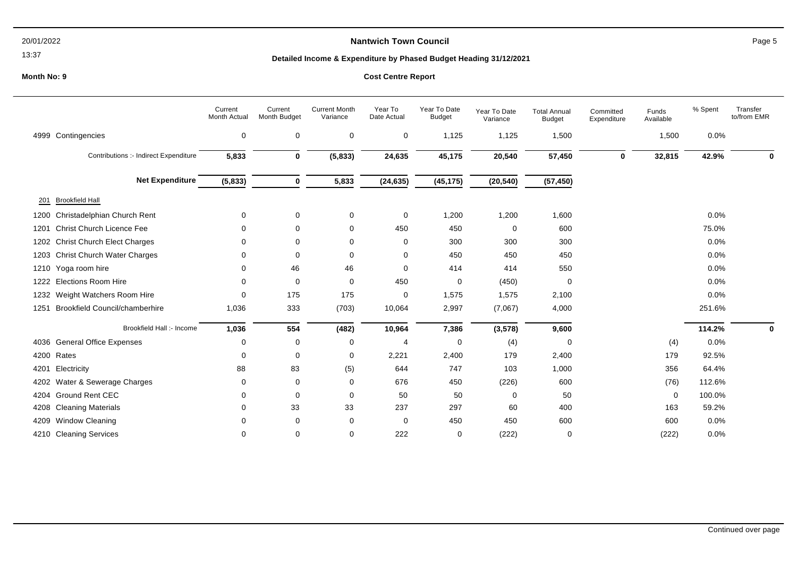# **Nantwich Town Council Page 5**

13:37

## **Detailed Income & Expenditure by Phased Budget Heading 31/12/2021**

|      |                                       | Current<br><b>Month Actual</b> | Current<br>Month Budget | <b>Current Month</b><br>Variance | Year To<br>Date Actual | Year To Date<br><b>Budget</b> | Year To Date<br>Variance | <b>Total Annual</b><br><b>Budget</b> | Committed<br>Expenditure | Funds<br>Available | % Spent | Transfer<br>to/from EMR |
|------|---------------------------------------|--------------------------------|-------------------------|----------------------------------|------------------------|-------------------------------|--------------------------|--------------------------------------|--------------------------|--------------------|---------|-------------------------|
|      | 4999 Contingencies                    | $\mathbf 0$                    | 0                       | 0                                | 0                      | 1,125                         | 1,125                    | 1,500                                |                          | 1,500              | 0.0%    |                         |
|      | Contributions :- Indirect Expenditure | 5,833                          | $\bf{0}$                | (5,833)                          | 24,635                 | 45,175                        | 20,540                   | 57,450                               | $\bf{0}$                 | 32,815             | 42.9%   | O                       |
|      | <b>Net Expenditure</b>                | (5,833)                        | $\bf{0}$                | 5,833                            | (24, 635)              | (45, 175)                     | (20, 540)                | (57, 450)                            |                          |                    |         |                         |
| 201  | <b>Brookfield Hall</b>                |                                |                         |                                  |                        |                               |                          |                                      |                          |                    |         |                         |
| 1200 | Christadelphian Church Rent           | 0                              | 0                       | 0                                | 0                      | 1,200                         | 1,200                    | 1,600                                |                          |                    | 0.0%    |                         |
| 1201 | <b>Christ Church Licence Fee</b>      | 0                              | 0                       | 0                                | 450                    | 450                           | 0                        | 600                                  |                          |                    | 75.0%   |                         |
|      | 1202 Christ Church Elect Charges      | 0                              | $\Omega$                | 0                                | 0                      | 300                           | 300                      | 300                                  |                          |                    | 0.0%    |                         |
| 1203 | Christ Church Water Charges           | 0                              | 0                       | 0                                | 0                      | 450                           | 450                      | 450                                  |                          |                    | 0.0%    |                         |
| 1210 | Yoga room hire                        | 0                              | 46                      | 46                               | 0                      | 414                           | 414                      | 550                                  |                          |                    | 0.0%    |                         |
| 1222 | <b>Elections Room Hire</b>            | 0                              | $\Omega$                | 0                                | 450                    | 0                             | (450)                    | 0                                    |                          |                    | 0.0%    |                         |
| 1232 | Weight Watchers Room Hire             | 0                              | 175                     | 175                              | 0                      | 1,575                         | 1,575                    | 2,100                                |                          |                    | 0.0%    |                         |
| 1251 | <b>Brookfield Council/chamberhire</b> | 1,036                          | 333                     | (703)                            | 10,064                 | 2,997                         | (7,067)                  | 4,000                                |                          |                    | 251.6%  |                         |
|      | Brookfield Hall :- Income             | 1,036                          | 554                     | (482)                            | 10,964                 | 7,386                         | (3, 578)                 | 9,600                                |                          |                    | 114.2%  | 0                       |
|      | 4036 General Office Expenses          | 0                              | $\Omega$                | 0                                | 4                      | 0                             | (4)                      | 0                                    |                          | (4)                | 0.0%    |                         |
|      | 4200 Rates                            | 0                              | $\Omega$                | 0                                | 2,221                  | 2,400                         | 179                      | 2,400                                |                          | 179                | 92.5%   |                         |
| 4201 | Electricity                           | 88                             | 83                      | (5)                              | 644                    | 747                           | 103                      | 1,000                                |                          | 356                | 64.4%   |                         |
| 4202 | Water & Sewerage Charges              | 0                              | 0                       | 0                                | 676                    | 450                           | (226)                    | 600                                  |                          | (76)               | 112.6%  |                         |
| 4204 | <b>Ground Rent CEC</b>                | 0                              | 0                       | 0                                | 50                     | 50                            | 0                        | 50                                   |                          | 0                  | 100.0%  |                         |
| 4208 | <b>Cleaning Materials</b>             | 0                              | 33                      | 33                               | 237                    | 297                           | 60                       | 400                                  |                          | 163                | 59.2%   |                         |
| 4209 | <b>Window Cleaning</b>                | $\Omega$                       | 0                       | 0                                | 0                      | 450                           | 450                      | 600                                  |                          | 600                | 0.0%    |                         |
|      | 4210 Cleaning Services                | 0                              | 0                       | 0                                | 222                    | 0                             | (222)                    | 0                                    |                          | (222)              | 0.0%    |                         |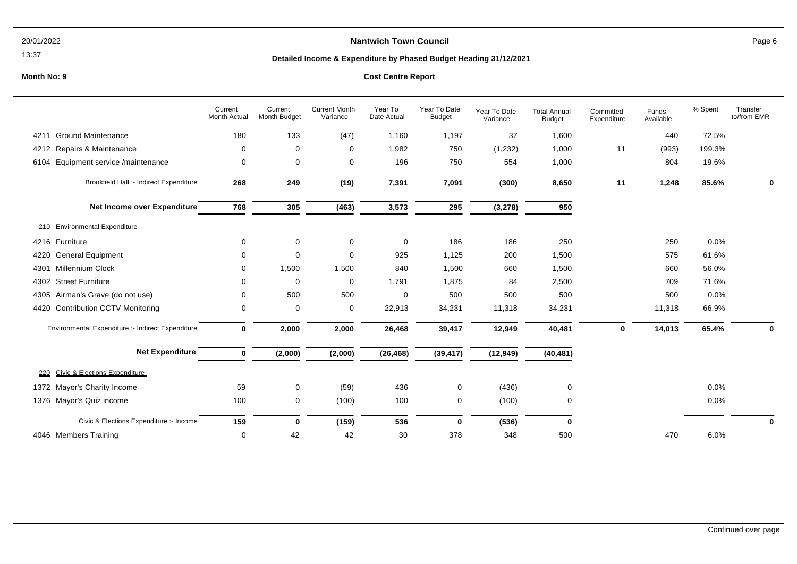# **Nantwich Town Council Page 6**

13:37

## **Detailed Income & Expenditure by Phased Budget Heading 31/12/2021**

|                                                   | Current<br>Month Actual | Current<br>Month Budget | <b>Current Month</b><br>Variance | Year To<br>Date Actual | Year To Date<br><b>Budget</b> | Year To Date<br>Variance | <b>Total Annual</b><br><b>Budget</b> | Committed<br>Expenditure | Funds<br>Available | % Spent | Transfer<br>to/from EMR |
|---------------------------------------------------|-------------------------|-------------------------|----------------------------------|------------------------|-------------------------------|--------------------------|--------------------------------------|--------------------------|--------------------|---------|-------------------------|
| <b>Ground Maintenance</b><br>4211                 | 180                     | 133                     | (47)                             | 1,160                  | 1,197                         | 37                       | 1,600                                |                          | 440                | 72.5%   |                         |
| Repairs & Maintenance<br>4212                     | 0                       | 0                       | 0                                | 1,982                  | 750                           | (1,232)                  | 1,000                                | 11                       | (993)              | 199.3%  |                         |
| Equipment service /maintenance<br>6104            | 0                       | 0                       | 0                                | 196                    | 750                           | 554                      | 1,000                                |                          | 804                | 19.6%   |                         |
| Brookfield Hall :- Indirect Expenditure           | 268                     | 249                     | (19)                             | 7,391                  | 7,091                         | (300)                    | 8,650                                | 11                       | 1,248              | 85.6%   | 0                       |
| Net Income over Expenditure                       | 768                     | 305                     | (463)                            | 3,573                  | 295                           | (3, 278)                 | 950                                  |                          |                    |         |                         |
| <b>Environmental Expenditure</b><br>210           |                         |                         |                                  |                        |                               |                          |                                      |                          |                    |         |                         |
| 4216 Furniture                                    | 0                       | $\mathbf 0$             | $\mathbf 0$                      | $\mathbf 0$            | 186                           | 186                      | 250                                  |                          | 250                | 0.0%    |                         |
| <b>General Equipment</b><br>4220                  | 0                       | $\mathbf 0$             | 0                                | 925                    | 1,125                         | 200                      | 1,500                                |                          | 575                | 61.6%   |                         |
| <b>Millennium Clock</b><br>4301                   | 0                       | 1,500                   | 1,500                            | 840                    | 1,500                         | 660                      | 1,500                                |                          | 660                | 56.0%   |                         |
| <b>Street Furniture</b><br>4302                   | 0                       | 0                       | 0                                | 1,791                  | 1,875                         | 84                       | 2,500                                |                          | 709                | 71.6%   |                         |
| Airman's Grave (do not use)<br>4305               | $\Omega$                | 500                     | 500                              | 0                      | 500                           | 500                      | 500                                  |                          | 500                | 0.0%    |                         |
| 4420 Contribution CCTV Monitoring                 | 0                       | 0                       | 0                                | 22,913                 | 34,231                        | 11,318                   | 34,231                               |                          | 11,318             | 66.9%   |                         |
| Environmental Expenditure :- Indirect Expenditure | $\mathbf 0$             | 2,000                   | 2,000                            | 26,468                 | 39,417                        | 12,949                   | 40,481                               | $\mathbf 0$              | 14,013             | 65.4%   | 0                       |
| <b>Net Expenditure</b>                            | $\bf{0}$                | (2,000)                 | (2,000)                          | (26, 468)              | (39, 417)                     | (12, 949)                | (40, 481)                            |                          |                    |         |                         |
| Civic & Elections Expenditure<br>220              |                         |                         |                                  |                        |                               |                          |                                      |                          |                    |         |                         |
| 1372 Mayor's Charity Income                       | 59                      | 0                       | (59)                             | 436                    | 0                             | (436)                    | 0                                    |                          |                    | 0.0%    |                         |
| 1376 Mayor's Quiz income                          | 100                     | 0                       | (100)                            | 100                    | 0                             | (100)                    | 0                                    |                          |                    | 0.0%    |                         |
| Civic & Elections Expenditure :- Income           | 159                     | $\mathbf 0$             | (159)                            | 536                    | 0                             | (536)                    | 0                                    |                          |                    |         | 0                       |
| 4046 Members Training                             | 0                       | 42                      | 42                               | 30                     | 378                           | 348                      | 500                                  |                          | 470                | 6.0%    |                         |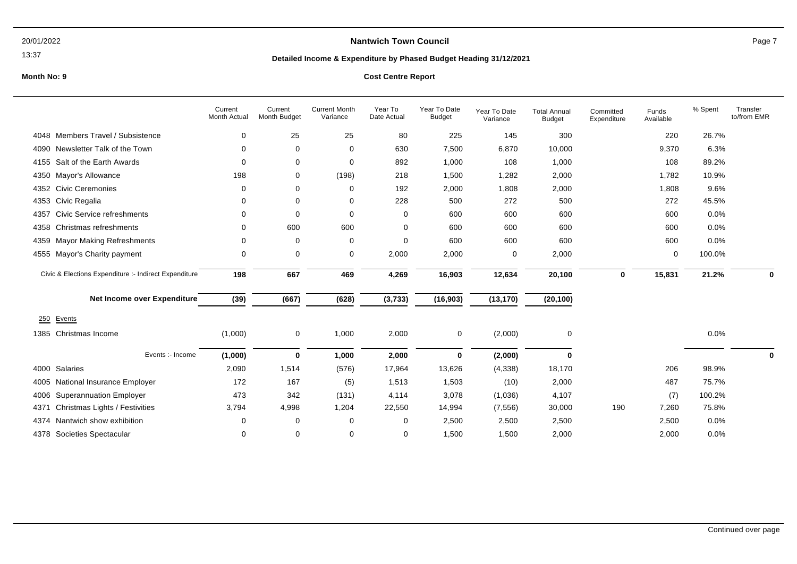### 13:37

# **Nantwich Town Council Page 7**

## **Detailed Income & Expenditure by Phased Budget Heading 31/12/2021**

## **Month No: 9 Cost Centre Report**

|                                                       | Current<br>Month Actual | Current<br>Month Budget | <b>Current Month</b><br>Variance | Year To<br>Date Actual | Year To Date<br><b>Budget</b> | Year To Date<br>Variance | <b>Total Annual</b><br><b>Budget</b> | Committed<br>Expenditure | Funds<br>Available | % Spent | Transfer<br>to/from EMR |
|-------------------------------------------------------|-------------------------|-------------------------|----------------------------------|------------------------|-------------------------------|--------------------------|--------------------------------------|--------------------------|--------------------|---------|-------------------------|
| Members Travel / Subsistence<br>4048                  | 0                       | 25                      | 25                               | 80                     | 225                           | 145                      | 300                                  |                          | 220                | 26.7%   |                         |
| Newsletter Talk of the Town<br>4090                   | 0                       | 0                       | $\mathbf 0$                      | 630                    | 7,500                         | 6,870                    | 10,000                               |                          | 9,370              | 6.3%    |                         |
| Salt of the Earth Awards<br>4155                      | 0                       | 0                       | 0                                | 892                    | 1,000                         | 108                      | 1,000                                |                          | 108                | 89.2%   |                         |
| Mayor's Allowance<br>4350                             | 198                     | 0                       | (198)                            | 218                    | 1,500                         | 1,282                    | 2,000                                |                          | 1,782              | 10.9%   |                         |
| <b>Civic Ceremonies</b><br>4352                       | 0                       | 0                       | 0                                | 192                    | 2,000                         | 1,808                    | 2,000                                |                          | 1,808              | 9.6%    |                         |
| Civic Regalia<br>4353                                 | 0                       | 0                       | 0                                | 228                    | 500                           | 272                      | 500                                  |                          | 272                | 45.5%   |                         |
| Civic Service refreshments<br>4357                    | $\Omega$                | $\Omega$                | 0                                | $\Omega$               | 600                           | 600                      | 600                                  |                          | 600                | 0.0%    |                         |
| Christmas refreshments<br>4358                        | 0                       | 600                     | 600                              | $\Omega$               | 600                           | 600                      | 600                                  |                          | 600                | 0.0%    |                         |
| <b>Mayor Making Refreshments</b><br>4359              | 0                       | 0                       | 0                                | $\Omega$               | 600                           | 600                      | 600                                  |                          | 600                | 0.0%    |                         |
| Mayor's Charity payment<br>4555                       | 0                       | 0                       | 0                                | 2,000                  | 2,000                         | 0                        | 2,000                                |                          | 0                  | 100.0%  |                         |
| Civic & Elections Expenditure :- Indirect Expenditure | 198                     | 667                     | 469                              | 4,269                  | 16,903                        | 12,634                   | 20,100                               | 0                        | 15,831             | 21.2%   | $\bf{0}$                |
| Net Income over Expenditure                           | (39)                    | (667)                   | (628)                            | (3,733)                | (16, 903)                     | (13, 170)                | (20, 100)                            |                          |                    |         |                         |
| Events<br>250                                         |                         |                         |                                  |                        |                               |                          |                                      |                          |                    |         |                         |
| Christmas Income<br>1385                              | (1,000)                 | 0                       | 1,000                            | 2,000                  | 0                             | (2,000)                  | 0                                    |                          |                    | 0.0%    |                         |
| Events :- Income                                      | (1,000)                 | $\bf{0}$                | 1,000                            | 2,000                  | 0                             | (2,000)                  | 0                                    |                          |                    |         | 0                       |
| Salaries<br>4000                                      | 2,090                   | 1,514                   | (576)                            | 17,964                 | 13,626                        | (4, 338)                 | 18,170                               |                          | 206                | 98.9%   |                         |
| National Insurance Employer<br>4005                   | 172                     | 167                     | (5)                              | 1,513                  | 1,503                         | (10)                     | 2,000                                |                          | 487                | 75.7%   |                         |
| <b>Superannuation Employer</b><br>4006                | 473                     | 342                     | (131)                            | 4,114                  | 3,078                         | (1,036)                  | 4,107                                |                          | (7)                | 100.2%  |                         |
| Christmas Lights / Festivities<br>4371                | 3,794                   | 4,998                   | 1,204                            | 22,550                 | 14,994                        | (7, 556)                 | 30,000                               | 190                      | 7,260              | 75.8%   |                         |
| Nantwich show exhibition<br>4374                      | 0                       | 0                       | 0                                | $\Omega$               | 2,500                         | 2,500                    | 2,500                                |                          | 2,500              | 0.0%    |                         |
| 4378 Societies Spectacular                            | 0                       | 0                       | $\mathbf 0$                      | $\Omega$               | 1,500                         | 1,500                    | 2,000                                |                          | 2.000              | 0.0%    |                         |

Continued over page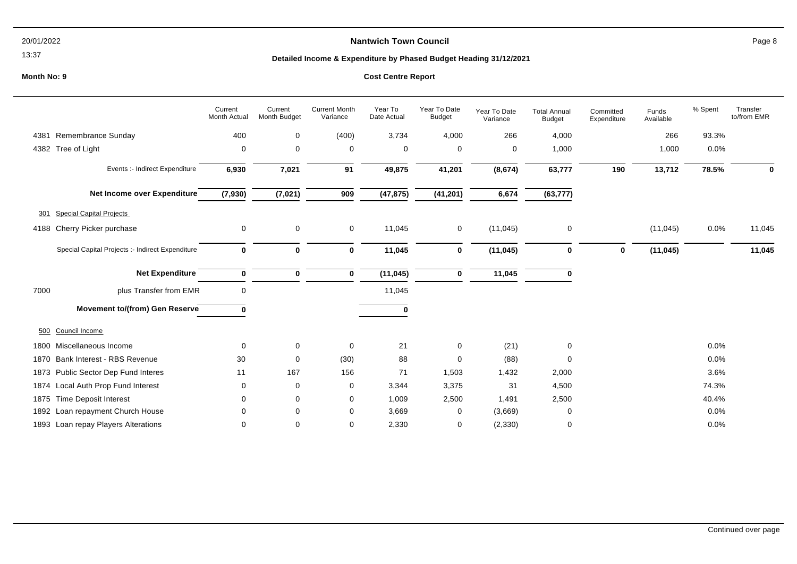# **Nantwich Town Council Page 8**

13:37

## **Detailed Income & Expenditure by Phased Budget Heading 31/12/2021**

|      |                                                  | Current<br>Month Actual | Current<br>Month Budget | <b>Current Month</b><br>Variance | Year To<br>Date Actual | Year To Date<br><b>Budget</b> | Year To Date<br>Variance | <b>Total Annual</b><br><b>Budget</b> | Committed<br>Expenditure | Funds<br>Available | % Spent | Transfer<br>to/from EMR |
|------|--------------------------------------------------|-------------------------|-------------------------|----------------------------------|------------------------|-------------------------------|--------------------------|--------------------------------------|--------------------------|--------------------|---------|-------------------------|
|      | 4381 Remembrance Sunday                          | 400                     | 0                       | (400)                            | 3,734                  | 4,000                         | 266                      | 4,000                                |                          | 266                | 93.3%   |                         |
|      | 4382 Tree of Light                               | 0                       | 0                       | $\mathbf 0$                      | 0                      | 0                             | 0                        | 1,000                                |                          | 1,000              | 0.0%    |                         |
|      | Events :- Indirect Expenditure                   | 6,930                   | 7,021                   | 91                               | 49,875                 | 41,201                        | (8,674)                  | 63,777                               | 190                      | 13,712             | 78.5%   | ŋ                       |
|      | Net Income over Expenditure                      | (7,930)                 | (7, 021)                | 909                              | (47, 875)              | (41, 201)                     | 6,674                    | (63, 777)                            |                          |                    |         |                         |
| 301  | <b>Special Capital Projects</b>                  |                         |                         |                                  |                        |                               |                          |                                      |                          |                    |         |                         |
| 4188 | Cherry Picker purchase                           | 0                       | 0                       | $\mathbf 0$                      | 11,045                 | 0                             | (11, 045)                | 0                                    |                          | (11, 045)          | 0.0%    | 11,045                  |
|      | Special Capital Projects :- Indirect Expenditure | $\mathbf 0$             | $\mathbf 0$             | $\bf{0}$                         | 11,045                 | 0                             | (11, 045)                | 0                                    | 0                        | (11, 045)          |         | 11,045                  |
|      | <b>Net Expenditure</b>                           | $\bf{0}$                | 0                       | $\mathbf 0$                      | (11, 045)              | 0                             | 11,045                   | n                                    |                          |                    |         |                         |
| 7000 | plus Transfer from EMR                           | $\mathbf 0$             |                         |                                  | 11,045                 |                               |                          |                                      |                          |                    |         |                         |
|      | <b>Movement to/(from) Gen Reserve</b>            | ŋ                       |                         |                                  | $\Omega$               |                               |                          |                                      |                          |                    |         |                         |
| 500  | Council Income                                   |                         |                         |                                  |                        |                               |                          |                                      |                          |                    |         |                         |
| 1800 | Miscellaneous Income                             | 0                       | 0                       | $\mathbf 0$                      | 21                     | 0                             | (21)                     | 0                                    |                          |                    | 0.0%    |                         |
| 1870 | Bank Interest - RBS Revenue                      | 30                      | $\mathbf 0$             | (30)                             | 88                     | 0                             | (88)                     | 0                                    |                          |                    | 0.0%    |                         |
| 1873 | Public Sector Dep Fund Interes                   | 11                      | 167                     | 156                              | 71                     | 1,503                         | 1,432                    | 2,000                                |                          |                    | 3.6%    |                         |
| 1874 | Local Auth Prop Fund Interest                    | 0                       | 0                       | 0                                | 3,344                  | 3,375                         | 31                       | 4,500                                |                          |                    | 74.3%   |                         |
| 1875 | <b>Time Deposit Interest</b>                     | 0                       | 0                       | 0                                | 1,009                  | 2,500                         | 1,491                    | 2,500                                |                          |                    | 40.4%   |                         |
|      | 1892 Loan repayment Church House                 | $\Omega$                | 0                       | 0                                | 3,669                  | 0                             | (3,669)                  | 0                                    |                          |                    | 0.0%    |                         |
|      | 1893 Loan repay Players Alterations              | 0                       | 0                       | 0                                | 2,330                  | 0                             | (2, 330)                 | 0                                    |                          |                    | 0.0%    |                         |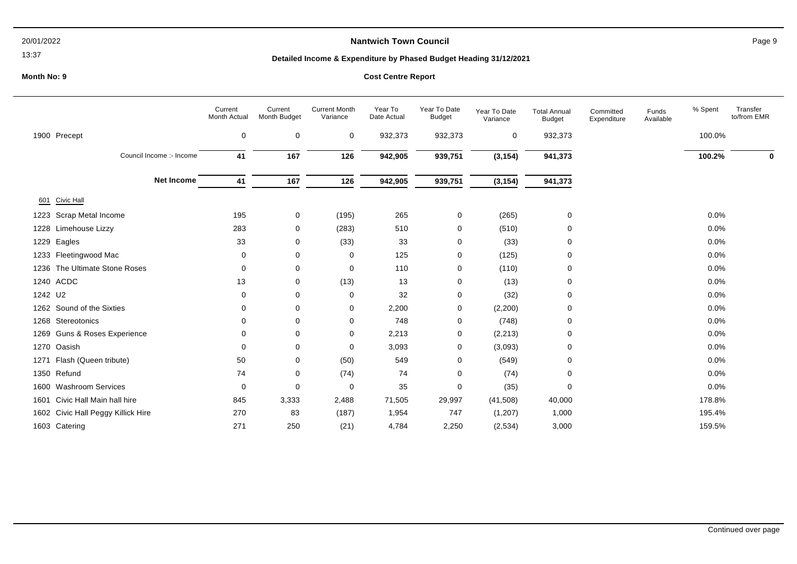### 13:37

# **Nantwich Town Council Page 9**

## **Detailed Income & Expenditure by Phased Budget Heading 31/12/2021**

|         |                                    | Current<br>Month Actual | Current<br>Month Budget | <b>Current Month</b><br>Variance | Year To<br>Date Actual | Year To Date<br><b>Budget</b> | Year To Date<br>Variance | <b>Total Annual</b><br><b>Budget</b> | Committed<br>Expenditure | Funds<br>Available | % Spent | Transfer<br>to/from EMR |
|---------|------------------------------------|-------------------------|-------------------------|----------------------------------|------------------------|-------------------------------|--------------------------|--------------------------------------|--------------------------|--------------------|---------|-------------------------|
|         | 1900 Precept                       | $\mathbf 0$             | 0                       | 0                                | 932,373                | 932,373                       | 0                        | 932,373                              |                          |                    | 100.0%  |                         |
|         | Council Income :- Income           | 41                      | 167                     | 126                              | 942,905                | 939,751                       | (3, 154)                 | 941,373                              |                          |                    | 100.2%  | 0                       |
|         | <b>Net Income</b>                  | 41                      | 167                     | 126                              | 942,905                | 939,751                       | (3, 154)                 | 941,373                              |                          |                    |         |                         |
| 601     | Civic Hall                         |                         |                         |                                  |                        |                               |                          |                                      |                          |                    |         |                         |
| 1223    | Scrap Metal Income                 | 195                     | 0                       | (195)                            | 265                    | 0                             | (265)                    | 0                                    |                          |                    | 0.0%    |                         |
|         | 1228 Limehouse Lizzy               | 283                     | 0                       | (283)                            | 510                    | 0                             | (510)                    | 0                                    |                          |                    | 0.0%    |                         |
| 1229    | Eagles                             | 33                      | 0                       | (33)                             | 33                     | 0                             | (33)                     | 0                                    |                          |                    | 0.0%    |                         |
|         | 1233 Fleetingwood Mac              | 0                       | 0                       | 0                                | 125                    | 0                             | (125)                    | 0                                    |                          |                    | 0.0%    |                         |
| 1236    | The Ultimate Stone Roses           | 0                       | 0                       | 0                                | 110                    | 0                             | (110)                    | 0                                    |                          |                    | 0.0%    |                         |
|         | 1240 ACDC                          | 13                      | 0                       | (13)                             | 13                     | 0                             | (13)                     | 0                                    |                          |                    | 0.0%    |                         |
| 1242 U2 |                                    | 0                       | 0                       | 0                                | 32                     | 0                             | (32)                     | 0                                    |                          |                    | 0.0%    |                         |
|         | 1262 Sound of the Sixties          | 0                       | 0                       | 0                                | 2,200                  | 0                             | (2,200)                  | 0                                    |                          |                    | 0.0%    |                         |
|         | 1268 Stereotonics                  | $\Omega$                | 0                       | 0                                | 748                    | 0                             | (748)                    | 0                                    |                          |                    | 0.0%    |                         |
|         | 1269 Guns & Roses Experience       | ∩                       | 0                       | 0                                | 2,213                  | 0                             | (2, 213)                 | 0                                    |                          |                    | 0.0%    |                         |
|         | 1270 Oasish                        | 0                       | 0                       | 0                                | 3,093                  | 0                             | (3,093)                  | 0                                    |                          |                    | 0.0%    |                         |
|         | 1271 Flash (Queen tribute)         | 50                      | 0                       | (50)                             | 549                    | 0                             | (549)                    | 0                                    |                          |                    | 0.0%    |                         |
|         | 1350 Refund                        | 74                      | 0                       | (74)                             | 74                     | 0                             | (74)                     | 0                                    |                          |                    | 0.0%    |                         |
|         | 1600 Washroom Services             | 0                       | 0                       | 0                                | 35                     | 0                             | (35)                     | $\mathbf 0$                          |                          |                    | 0.0%    |                         |
| 1601    | Civic Hall Main hall hire          | 845                     | 3,333                   | 2,488                            | 71,505                 | 29,997                        | (41,508)                 | 40,000                               |                          |                    | 178.8%  |                         |
|         | 1602 Civic Hall Peggy Killick Hire | 270                     | 83                      | (187)                            | 1,954                  | 747                           | (1, 207)                 | 1,000                                |                          |                    | 195.4%  |                         |
|         | 1603 Catering                      | 271                     | 250                     | (21)                             | 4,784                  | 2,250                         | (2,534)                  | 3,000                                |                          |                    | 159.5%  |                         |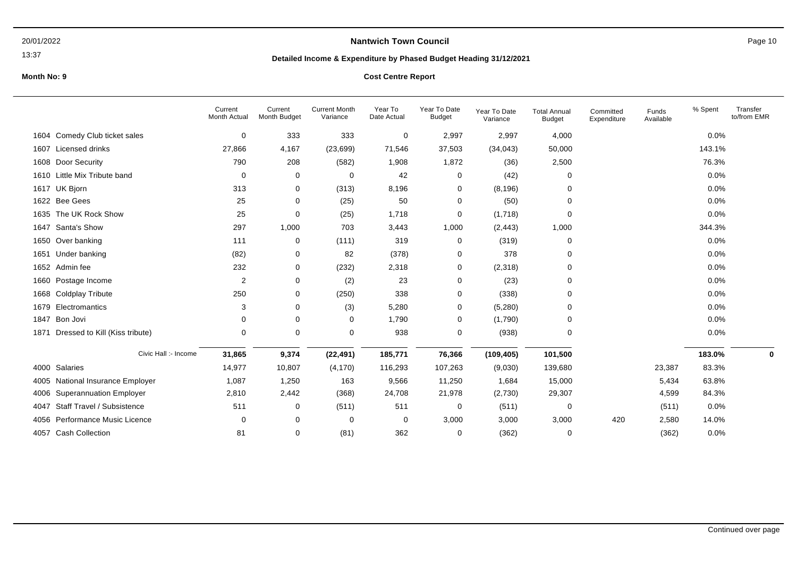13:37

# **Nantwich Town Council Page 10**

## **Detailed Income & Expenditure by Phased Budget Heading 31/12/2021**

## **Month No: 9**

|  |  | <b>Cost Centre Report</b> |
|--|--|---------------------------|
|--|--|---------------------------|

|                                           | Current<br><b>Month Actual</b> | Current<br>Month Budget | <b>Current Month</b><br>Variance | Year To<br>Date Actual | Year To Date<br><b>Budget</b> | Year To Date<br>Variance | <b>Total Annual</b><br><b>Budget</b> | Committed<br>Expenditure | Funds<br>Available | % Spent | Transfer<br>to/from EMR |
|-------------------------------------------|--------------------------------|-------------------------|----------------------------------|------------------------|-------------------------------|--------------------------|--------------------------------------|--------------------------|--------------------|---------|-------------------------|
| Comedy Club ticket sales<br>1604          | 0                              | 333                     | 333                              | 0                      | 2,997                         | 2,997                    | 4,000                                |                          |                    | 0.0%    |                         |
| Licensed drinks<br>1607                   | 27,866                         | 4,167                   | (23, 699)                        | 71,546                 | 37,503                        | (34, 043)                | 50,000                               |                          |                    | 143.1%  |                         |
| Door Security<br>1608                     | 790                            | 208                     | (582)                            | 1,908                  | 1,872                         | (36)                     | 2,500                                |                          |                    | 76.3%   |                         |
| Little Mix Tribute band<br>1610           | 0                              | 0                       | $\mathbf 0$                      | 42                     | 0                             | (42)                     | $\Omega$                             |                          |                    | 0.0%    |                         |
| 1617 UK Bjorn                             | 313                            | 0                       | (313)                            | 8,196                  | 0                             | (8, 196)                 | $\Omega$                             |                          |                    | 0.0%    |                         |
| 1622 Bee Gees                             | 25                             | $\mathbf 0$             | (25)                             | 50                     | 0                             | (50)                     | $\Omega$                             |                          |                    | 0.0%    |                         |
| The UK Rock Show<br>1635                  | 25                             | $\mathbf 0$             | (25)                             | 1,718                  | 0                             | (1,718)                  | $\Omega$                             |                          |                    | 0.0%    |                         |
| Santa's Show<br>1647                      | 297                            | 1,000                   | 703                              | 3,443                  | 1,000                         | (2, 443)                 | 1,000                                |                          |                    | 344.3%  |                         |
| Over banking<br>1650                      | 111                            | 0                       | (111)                            | 319                    | 0                             | (319)                    | 0                                    |                          |                    | 0.0%    |                         |
| Under banking<br>1651                     | (82)                           | 0                       | 82                               | (378)                  | 0                             | 378                      | $\Omega$                             |                          |                    | 0.0%    |                         |
| 1652 Admin fee                            | 232                            | 0                       | (232)                            | 2,318                  | 0                             | (2,318)                  | 0                                    |                          |                    | 0.0%    |                         |
| Postage Income<br>1660                    | $\overline{2}$                 | 0                       | (2)                              | 23                     | 0                             | (23)                     | $\Omega$                             |                          |                    | 0.0%    |                         |
| <b>Coldplay Tribute</b><br>1668           | 250                            | 0                       | (250)                            | 338                    | 0                             | (338)                    | $\Omega$                             |                          |                    | 0.0%    |                         |
| Electromantics<br>1679                    | 3                              | 0                       | (3)                              | 5,280                  | 0                             | (5,280)                  | $\Omega$                             |                          |                    | 0.0%    |                         |
| Bon Jovi<br>1847                          | $\mathbf 0$                    | 0                       | 0                                | 1,790                  | $\mathbf 0$                   | (1,790)                  | $\Omega$                             |                          |                    | 0.0%    |                         |
| Dressed to Kill (Kiss tribute)<br>1871    | $\mathbf 0$                    | $\mathbf 0$             | $\mathbf 0$                      | 938                    | $\mathbf 0$                   | (938)                    | $\Omega$                             |                          |                    | 0.0%    |                         |
| Civic Hall :- Income                      | 31,865                         | 9,374                   | (22, 491)                        | 185,771                | 76,366                        | (109, 405)               | 101,500                              |                          |                    | 183.0%  | 0                       |
| Salaries<br>4000                          | 14,977                         | 10,807                  | (4, 170)                         | 116,293                | 107,263                       | (9,030)                  | 139,680                              |                          | 23,387             | 83.3%   |                         |
| National Insurance Employer<br>4005       | 1,087                          | 1,250                   | 163                              | 9,566                  | 11,250                        | 1,684                    | 15,000                               |                          | 5,434              | 63.8%   |                         |
| <b>Superannuation Employer</b><br>4006    | 2,810                          | 2,442                   | (368)                            | 24,708                 | 21,978                        | (2,730)                  | 29,307                               |                          | 4,599              | 84.3%   |                         |
| <b>Staff Travel / Subsistence</b><br>4047 | 511                            | 0                       | (511)                            | 511                    | 0                             | (511)                    | 0                                    |                          | (511)              | 0.0%    |                         |
| Performance Music Licence<br>4056         | $\mathbf 0$                    | $\mathbf 0$             | $\mathbf 0$                      | 0                      | 3,000                         | 3,000                    | 3,000                                | 420                      | 2,580              | 14.0%   |                         |
| 4057 Cash Collection                      | 81                             | 0                       | (81)                             | 362                    | $\mathbf 0$                   | (362)                    | $\Omega$                             |                          | (362)              | 0.0%    |                         |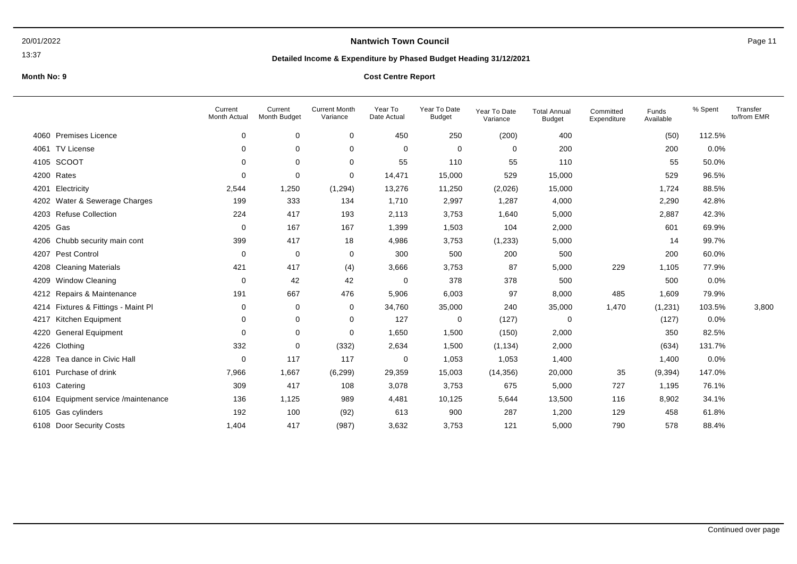### 13:37

# **Nantwich Town Council Page 11**

## **Detailed Income & Expenditure by Phased Budget Heading 31/12/2021**

|      |                                | Current<br>Month Actual | Current<br>Month Budget | <b>Current Month</b><br>Variance | Year To<br>Date Actual | Year To Date<br><b>Budget</b> | Year To Date<br>Variance | <b>Total Annual</b><br><b>Budget</b> | Committed<br>Expenditure | Funds<br>Available | % Spent | Transfer<br>to/from EMR |
|------|--------------------------------|-------------------------|-------------------------|----------------------------------|------------------------|-------------------------------|--------------------------|--------------------------------------|--------------------------|--------------------|---------|-------------------------|
| 4060 | <b>Premises Licence</b>        | 0                       | 0                       | 0                                | 450                    | 250                           | (200)                    | 400                                  |                          | (50)               | 112.5%  |                         |
| 4061 | <b>TV License</b>              | 0                       | 0                       | 0                                | 0                      | 0                             | 0                        | 200                                  |                          | 200                | 0.0%    |                         |
| 4105 | <b>SCOOT</b>                   | 0                       | 0                       | 0                                | 55                     | 110                           | 55                       | 110                                  |                          | 55                 | 50.0%   |                         |
| 4200 | Rates                          | 0                       | $\mathbf 0$             | 0                                | 14,471                 | 15,000                        | 529                      | 15,000                               |                          | 529                | 96.5%   |                         |
| 4201 | Electricity                    | 2,544                   | 1,250                   | (1,294)                          | 13,276                 | 11,250                        | (2,026)                  | 15,000                               |                          | 1,724              | 88.5%   |                         |
| 4202 | Water & Sewerage Charges       | 199                     | 333                     | 134                              | 1,710                  | 2,997                         | 1,287                    | 4,000                                |                          | 2,290              | 42.8%   |                         |
| 4203 | <b>Refuse Collection</b>       | 224                     | 417                     | 193                              | 2,113                  | 3,753                         | 1,640                    | 5,000                                |                          | 2,887              | 42.3%   |                         |
| 4205 | Gas                            | 0                       | 167                     | 167                              | 1,399                  | 1,503                         | 104                      | 2,000                                |                          | 601                | 69.9%   |                         |
| 4206 | Chubb security main cont       | 399                     | 417                     | 18                               | 4,986                  | 3,753                         | (1,233)                  | 5,000                                |                          | 14                 | 99.7%   |                         |
| 4207 | Pest Control                   | 0                       | 0                       | 0                                | 300                    | 500                           | 200                      | 500                                  |                          | 200                | 60.0%   |                         |
| 4208 | <b>Cleaning Materials</b>      | 421                     | 417                     | (4)                              | 3,666                  | 3,753                         | 87                       | 5,000                                | 229                      | 1,105              | 77.9%   |                         |
| 4209 | <b>Window Cleaning</b>         | 0                       | 42                      | 42                               | $\overline{0}$         | 378                           | 378                      | 500                                  |                          | 500                | 0.0%    |                         |
| 4212 | Repairs & Maintenance          | 191                     | 667                     | 476                              | 5,906                  | 6,003                         | 97                       | 8,000                                | 485                      | 1,609              | 79.9%   |                         |
| 4214 | Fixtures & Fittings - Maint Pl | 0                       | 0                       | 0                                | 34,760                 | 35,000                        | 240                      | 35,000                               | 1,470                    | (1,231)            | 103.5%  | 3,800                   |
| 4217 | Kitchen Equipment              | 0                       | 0                       | 0                                | 127                    | 0                             | (127)                    | 0                                    |                          | (127)              | 0.0%    |                         |
| 4220 | General Equipment              | 0                       | 0                       | 0                                | 1,650                  | 1,500                         | (150)                    | 2,000                                |                          | 350                | 82.5%   |                         |
| 4226 | Clothing                       | 332                     | 0                       | (332)                            | 2,634                  | 1,500                         | (1, 134)                 | 2,000                                |                          | (634)              | 131.7%  |                         |
| 4228 | Tea dance in Civic Hall        | 0                       | 117                     | 117                              | $\overline{0}$         | 1,053                         | 1,053                    | 1,400                                |                          | 1,400              | 0.0%    |                         |
| 6101 | Purchase of drink              | 7,966                   | 1,667                   | (6, 299)                         | 29,359                 | 15,003                        | (14, 356)                | 20,000                               | 35                       | (9, 394)           | 147.0%  |                         |
| 6103 | Catering                       | 309                     | 417                     | 108                              | 3,078                  | 3,753                         | 675                      | 5,000                                | 727                      | 1,195              | 76.1%   |                         |
| 6104 | Equipment service /maintenance | 136                     | 1,125                   | 989                              | 4,481                  | 10,125                        | 5,644                    | 13,500                               | 116                      | 8,902              | 34.1%   |                         |
| 6105 | Gas cylinders                  | 192                     | 100                     | (92)                             | 613                    | 900                           | 287                      | 1,200                                | 129                      | 458                | 61.8%   |                         |
| 6108 | <b>Door Security Costs</b>     | 1,404                   | 417                     | (987)                            | 3,632                  | 3,753                         | 121                      | 5,000                                | 790                      | 578                | 88.4%   |                         |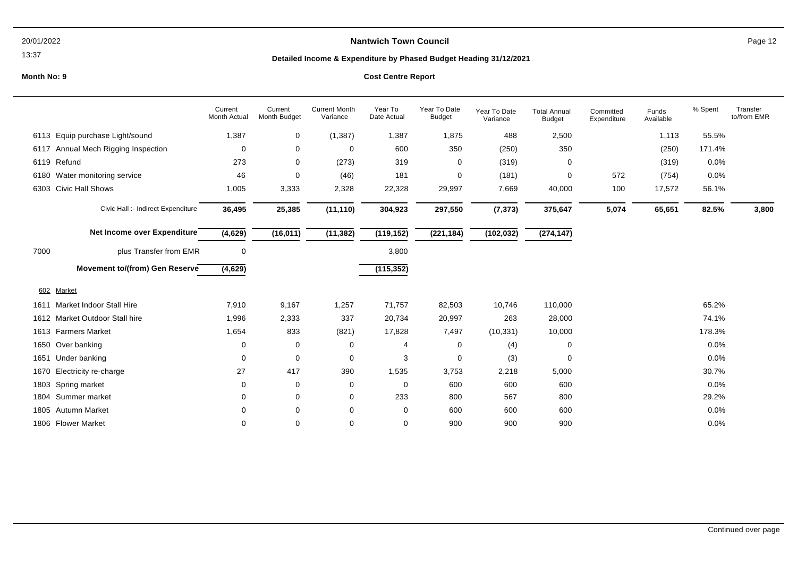### 13:37

# **Nantwich Town Council Nantwich Town Council Page 12**

## **Detailed Income & Expenditure by Phased Budget Heading 31/12/2021**

|      |                                       | Current<br><b>Month Actual</b> | Current<br>Month Budget | <b>Current Month</b><br>Variance | Year To<br>Date Actual | Year To Date<br><b>Budget</b> | Year To Date<br>Variance | <b>Total Annual</b><br><b>Budget</b> | Committed<br>Expenditure | Funds<br>Available | % Spent | Transfer<br>to/from EMR |
|------|---------------------------------------|--------------------------------|-------------------------|----------------------------------|------------------------|-------------------------------|--------------------------|--------------------------------------|--------------------------|--------------------|---------|-------------------------|
| 6113 | Equip purchase Light/sound            | 1,387                          | 0                       | (1, 387)                         | 1,387                  | 1,875                         | 488                      | 2,500                                |                          | 1,113              | 55.5%   |                         |
| 6117 | Annual Mech Rigging Inspection        | 0                              | 0                       | 0                                | 600                    | 350                           | (250)                    | 350                                  |                          | (250)              | 171.4%  |                         |
| 6119 | Refund                                | 273                            | 0                       | (273)                            | 319                    | 0                             | (319)                    | 0                                    |                          | (319)              | 0.0%    |                         |
| 6180 | Water monitoring service              | 46                             | 0                       | (46)                             | 181                    | 0                             | (181)                    | 0                                    | 572                      | (754)              | 0.0%    |                         |
| 6303 | <b>Civic Hall Shows</b>               | 1,005                          | 3,333                   | 2,328                            | 22,328                 | 29,997                        | 7,669                    | 40,000                               | 100                      | 17,572             | 56.1%   |                         |
|      | Civic Hall :- Indirect Expenditure    | 36,495                         | 25,385                  | (11, 110)                        | 304,923                | 297,550                       | (7, 373)                 | 375,647                              | 5,074                    | 65,651             | 82.5%   | 3,800                   |
|      | Net Income over Expenditure           | (4,629)                        | (16, 011)               | (11, 382)                        | (119, 152)             | (221, 184)                    | (102, 032)               | (274, 147)                           |                          |                    |         |                         |
| 7000 | plus Transfer from EMR                | 0                              |                         |                                  | 3,800                  |                               |                          |                                      |                          |                    |         |                         |
|      | <b>Movement to/(from) Gen Reserve</b> | (4,629)                        |                         |                                  | (115, 352)             |                               |                          |                                      |                          |                    |         |                         |
| 602  | Market                                |                                |                         |                                  |                        |                               |                          |                                      |                          |                    |         |                         |
| 1611 | <b>Market Indoor Stall Hire</b>       | 7,910                          | 9,167                   | 1,257                            | 71,757                 | 82,503                        | 10,746                   | 110,000                              |                          |                    | 65.2%   |                         |
|      | 1612 Market Outdoor Stall hire        | 1,996                          | 2,333                   | 337                              | 20,734                 | 20,997                        | 263                      | 28,000                               |                          |                    | 74.1%   |                         |
|      | 1613 Farmers Market                   | 1,654                          | 833                     | (821)                            | 17,828                 | 7,497                         | (10, 331)                | 10,000                               |                          |                    | 178.3%  |                         |
| 1650 | Over banking                          | 0                              | 0                       | 0                                | 4                      | 0                             | (4)                      | 0                                    |                          |                    | 0.0%    |                         |
| 1651 | Under banking                         | 0                              | 0                       | 0                                | 3                      | 0                             | (3)                      | 0                                    |                          |                    | 0.0%    |                         |
| 1670 | Electricity re-charge                 | 27                             | 417                     | 390                              | 1,535                  | 3,753                         | 2,218                    | 5,000                                |                          |                    | 30.7%   |                         |
|      | 1803 Spring market                    | 0                              | 0                       | 0                                | $\mathbf 0$            | 600                           | 600                      | 600                                  |                          |                    | 0.0%    |                         |
|      | 1804 Summer market                    | 0                              | 0                       | 0                                | 233                    | 800                           | 567                      | 800                                  |                          |                    | 29.2%   |                         |
|      | 1805 Autumn Market                    | 0                              | 0                       | 0                                | 0                      | 600                           | 600                      | 600                                  |                          |                    | 0.0%    |                         |
|      | 1806 Flower Market                    | 0                              | 0                       | 0                                | 0                      | 900                           | 900                      | 900                                  |                          |                    | 0.0%    |                         |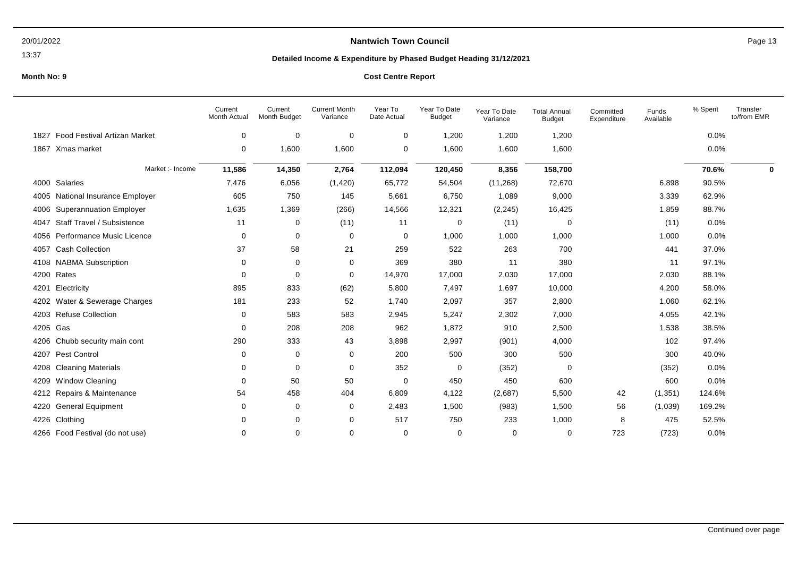### 13:37

# **Nantwich Town Council Nantwich Town Council Page 13**

## **Detailed Income & Expenditure by Phased Budget Heading 31/12/2021**

|          |                                  | Current<br>Month Actual | Current<br>Month Budget | <b>Current Month</b><br>Variance | Year To<br>Date Actual | Year To Date<br><b>Budget</b> | Year To Date<br>Variance | <b>Total Annual</b><br><b>Budget</b> | Committed<br>Expenditure | Funds<br>Available | % Spent | Transfer<br>to/from EMR |
|----------|----------------------------------|-------------------------|-------------------------|----------------------------------|------------------------|-------------------------------|--------------------------|--------------------------------------|--------------------------|--------------------|---------|-------------------------|
| 1827     | Food Festival Artizan Market     | $\mathbf 0$             | 0                       | $\mathbf 0$                      | $\mathbf 0$            | 1,200                         | 1,200                    | 1,200                                |                          |                    | 0.0%    |                         |
|          | 1867 Xmas market                 | 0                       | 1,600                   | 1,600                            | 0                      | 1,600                         | 1,600                    | 1,600                                |                          |                    | 0.0%    |                         |
|          | Market :- Income                 | 11,586                  | 14,350                  | 2,764                            | 112,094                | 120,450                       | 8,356                    | 158,700                              |                          |                    | 70.6%   | 0                       |
|          | 4000 Salaries                    | 7,476                   | 6,056                   | (1,420)                          | 65,772                 | 54,504                        | (11, 268)                | 72,670                               |                          | 6,898              | 90.5%   |                         |
|          | 4005 National Insurance Employer | 605                     | 750                     | 145                              | 5,661                  | 6,750                         | 1,089                    | 9,000                                |                          | 3,339              | 62.9%   |                         |
|          | 4006 Superannuation Employer     | 1,635                   | 1,369                   | (266)                            | 14,566                 | 12,321                        | (2, 245)                 | 16,425                               |                          | 1,859              | 88.7%   |                         |
| 4047     | Staff Travel / Subsistence       | 11                      | 0                       | (11)                             | 11                     | 0                             | (11)                     | 0                                    |                          | (11)               | 0.0%    |                         |
| 4056     | Performance Music Licence        | 0                       | 0                       | 0                                | 0                      | 1,000                         | 1,000                    | 1,000                                |                          | 1,000              | 0.0%    |                         |
| 4057     | <b>Cash Collection</b>           | 37                      | 58                      | 21                               | 259                    | 522                           | 263                      | 700                                  |                          | 441                | 37.0%   |                         |
|          | 4108 NABMA Subscription          | 0                       | 0                       | 0                                | 369                    | 380                           | 11                       | 380                                  |                          | 11                 | 97.1%   |                         |
|          | 4200 Rates                       | $\Omega$                | $\mathbf 0$             | 0                                | 14,970                 | 17,000                        | 2,030                    | 17,000                               |                          | 2,030              | 88.1%   |                         |
|          | 4201 Electricity                 | 895                     | 833                     | (62)                             | 5,800                  | 7,497                         | 1,697                    | 10,000                               |                          | 4,200              | 58.0%   |                         |
|          | 4202 Water & Sewerage Charges    | 181                     | 233                     | 52                               | 1,740                  | 2,097                         | 357                      | 2,800                                |                          | 1,060              | 62.1%   |                         |
|          | 4203 Refuse Collection           | $\Omega$                | 583                     | 583                              | 2,945                  | 5,247                         | 2,302                    | 7,000                                |                          | 4,055              | 42.1%   |                         |
| 4205 Gas |                                  | 0                       | 208                     | 208                              | 962                    | 1,872                         | 910                      | 2,500                                |                          | 1,538              | 38.5%   |                         |
|          | 4206 Chubb security main cont    | 290                     | 333                     | 43                               | 3,898                  | 2,997                         | (901)                    | 4,000                                |                          | 102                | 97.4%   |                         |
|          | 4207 Pest Control                | 0                       | 0                       | 0                                | 200                    | 500                           | 300                      | 500                                  |                          | 300                | 40.0%   |                         |
|          | 4208 Cleaning Materials          | 0                       | 0                       | 0                                | 352                    | 0                             | (352)                    | 0                                    |                          | (352)              | 0.0%    |                         |
| 4209     | <b>Window Cleaning</b>           | $\Omega$                | 50                      | 50                               | 0                      | 450                           | 450                      | 600                                  |                          | 600                | 0.0%    |                         |
|          | 4212 Repairs & Maintenance       | 54                      | 458                     | 404                              | 6,809                  | 4,122                         | (2,687)                  | 5,500                                | 42                       | (1, 351)           | 124.6%  |                         |
|          | 4220 General Equipment           | 0                       | 0                       | 0                                | 2,483                  | 1,500                         | (983)                    | 1,500                                | 56                       | (1,039)            | 169.2%  |                         |
|          | 4226 Clothing                    | $\Omega$                | 0                       | 0                                | 517                    | 750                           | 233                      | 1,000                                | 8                        | 475                | 52.5%   |                         |
|          | 4266 Food Festival (do not use)  | 0                       | 0                       | 0                                | 0                      | 0                             | 0                        | 0                                    | 723                      | (723)              | 0.0%    |                         |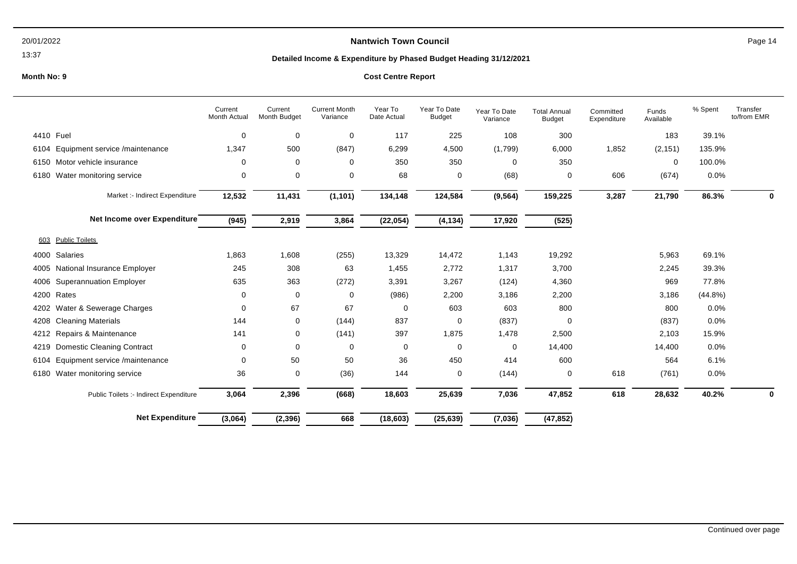### 13:37

# **Nantwich Town Council Page 14**

## **Detailed Income & Expenditure by Phased Budget Heading 31/12/2021**

|                                           | Current<br>Month Actual | Current<br>Month Budget | <b>Current Month</b><br>Variance | Year To<br>Date Actual | Year To Date<br><b>Budget</b> | Year To Date<br>Variance | <b>Total Annual</b><br><b>Budget</b> | Committed<br>Expenditure | Funds<br>Available | % Spent    | Transfer<br>to/from EMR |
|-------------------------------------------|-------------------------|-------------------------|----------------------------------|------------------------|-------------------------------|--------------------------|--------------------------------------|--------------------------|--------------------|------------|-------------------------|
| 4410 Fuel                                 | 0                       | 0                       | $\mathbf 0$                      | 117                    | 225                           | 108                      | 300                                  |                          | 183                | 39.1%      |                         |
| Equipment service /maintenance<br>6104    | 1,347                   | 500                     | (847)                            | 6,299                  | 4,500                         | (1,799)                  | 6,000                                | 1,852                    | (2, 151)           | 135.9%     |                         |
| Motor vehicle insurance<br>6150           | 0                       | 0                       | $\mathbf 0$                      | 350                    | 350                           | 0                        | 350                                  |                          | 0                  | 100.0%     |                         |
| Water monitoring service<br>6180          | 0                       | 0                       | $\mathbf 0$                      | 68                     | 0                             | (68)                     | 0                                    | 606                      | (674)              | 0.0%       |                         |
| Market :- Indirect Expenditure            | 12,532                  | 11,431                  | (1, 101)                         | 134,148                | 124,584                       | (9, 564)                 | 159,225                              | 3,287                    | 21,790             | 86.3%      | 0                       |
| Net Income over Expenditure               | (945)                   | 2,919                   | 3,864                            | (22, 054)              | (4, 134)                      | 17,920                   | (525)                                |                          |                    |            |                         |
| <b>Public Toilets</b><br>603              |                         |                         |                                  |                        |                               |                          |                                      |                          |                    |            |                         |
| Salaries<br>4000                          | 1,863                   | 1,608                   | (255)                            | 13,329                 | 14,472                        | 1,143                    | 19,292                               |                          | 5,963              | 69.1%      |                         |
| National Insurance Employer<br>4005       | 245                     | 308                     | 63                               | 1,455                  | 2,772                         | 1,317                    | 3,700                                |                          | 2,245              | 39.3%      |                         |
| <b>Superannuation Employer</b><br>4006    | 635                     | 363                     | (272)                            | 3,391                  | 3,267                         | (124)                    | 4,360                                |                          | 969                | 77.8%      |                         |
| Rates<br>4200                             | 0                       | 0                       | $\mathbf 0$                      | (986)                  | 2,200                         | 3,186                    | 2,200                                |                          | 3,186              | $(44.8\%)$ |                         |
| Water & Sewerage Charges<br>4202          | 0                       | 67                      | 67                               | 0                      | 603                           | 603                      | 800                                  |                          | 800                | $0.0\%$    |                         |
| <b>Cleaning Materials</b><br>4208         | 144                     | 0                       | (144)                            | 837                    | 0                             | (837)                    | $\Omega$                             |                          | (837)              | 0.0%       |                         |
| Repairs & Maintenance<br>4212             | 141                     | 0                       | (141)                            | 397                    | 1,875                         | 1,478                    | 2,500                                |                          | 2,103              | 15.9%      |                         |
| <b>Domestic Cleaning Contract</b><br>4219 | 0                       | 0                       | 0                                | $\mathbf 0$            | 0                             | 0                        | 14,400                               |                          | 14,400             | 0.0%       |                         |
| Equipment service /maintenance<br>6104    | 0                       | 50                      | 50                               | 36                     | 450                           | 414                      | 600                                  |                          | 564                | 6.1%       |                         |
| Water monitoring service<br>6180          | 36                      | 0                       | (36)                             | 144                    | 0                             | (144)                    | 0                                    | 618                      | (761)              | $0.0\%$    |                         |
| Public Toilets :- Indirect Expenditure    | 3,064                   | 2,396                   | (668)                            | 18,603                 | 25,639                        | 7,036                    | 47,852                               | 618                      | 28,632             | 40.2%      | 0                       |
| <b>Net Expenditure</b>                    | (3,064)                 | (2, 396)                | 668                              | (18, 603)              | (25, 639)                     | (7,036)                  | (47, 852)                            |                          |                    |            |                         |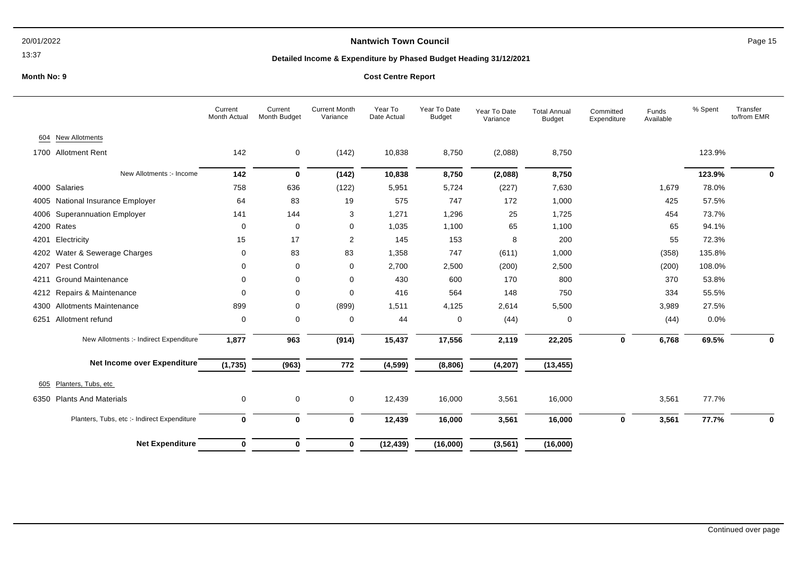### 13:37

## **Nantwich Town Council Page 15**

## **Detailed Income & Expenditure by Phased Budget Heading 31/12/2021**

|      |                                             | Current<br>Month Actual | Current<br>Month Budget | <b>Current Month</b><br>Variance | Year To<br>Date Actual | Year To Date<br><b>Budget</b> | Year To Date<br>Variance | <b>Total Annual</b><br><b>Budget</b> | Committed<br>Expenditure | Funds<br>Available | % Spent | Transfer<br>to/from EMR |
|------|---------------------------------------------|-------------------------|-------------------------|----------------------------------|------------------------|-------------------------------|--------------------------|--------------------------------------|--------------------------|--------------------|---------|-------------------------|
| 604  | <b>New Allotments</b>                       |                         |                         |                                  |                        |                               |                          |                                      |                          |                    |         |                         |
|      | 1700 Allotment Rent                         | 142                     | 0                       | (142)                            | 10,838                 | 8,750                         | (2,088)                  | 8,750                                |                          |                    | 123.9%  |                         |
|      | New Allotments :- Income                    | 142                     | $\mathbf 0$             | (142)                            | 10,838                 | 8,750                         | (2,088)                  | 8,750                                |                          |                    | 123.9%  | 0                       |
|      | 4000 Salaries                               | 758                     | 636                     | (122)                            | 5,951                  | 5,724                         | (227)                    | 7,630                                |                          | 1,679              | 78.0%   |                         |
|      | 4005 National Insurance Employer            | 64                      | 83                      | 19                               | 575                    | 747                           | 172                      | 1,000                                |                          | 425                | 57.5%   |                         |
|      | 4006 Superannuation Employer                | 141                     | 144                     | 3                                | 1,271                  | 1,296                         | 25                       | 1,725                                |                          | 454                | 73.7%   |                         |
|      | 4200 Rates                                  | 0                       | 0                       | 0                                | 1,035                  | 1,100                         | 65                       | 1,100                                |                          | 65                 | 94.1%   |                         |
| 4201 | Electricity                                 | 15                      | 17                      | 2                                | 145                    | 153                           | 8                        | 200                                  |                          | 55                 | 72.3%   |                         |
|      | 4202 Water & Sewerage Charges               | 0                       | 83                      | 83                               | 1,358                  | 747                           | (611)                    | 1,000                                |                          | (358)              | 135.8%  |                         |
|      | 4207 Pest Control                           | 0                       | $\mathbf 0$             | 0                                | 2,700                  | 2,500                         | (200)                    | 2,500                                |                          | (200)              | 108.0%  |                         |
|      | 4211 Ground Maintenance                     | $\Omega$                | 0                       | 0                                | 430                    | 600                           | 170                      | 800                                  |                          | 370                | 53.8%   |                         |
|      | 4212 Repairs & Maintenance                  | $\Omega$                | 0                       | 0                                | 416                    | 564                           | 148                      | 750                                  |                          | 334                | 55.5%   |                         |
|      | 4300 Allotments Maintenance                 | 899                     | 0                       | (899)                            | 1,511                  | 4,125                         | 2,614                    | 5,500                                |                          | 3,989              | 27.5%   |                         |
| 6251 | Allotment refund                            | 0                       | 0                       | 0                                | 44                     | 0                             | (44)                     | 0                                    |                          | (44)               | 0.0%    |                         |
|      | New Allotments :- Indirect Expenditure      | 1,877                   | 963                     | (914)                            | 15,437                 | 17,556                        | 2,119                    | 22,205                               | 0                        | 6,768              | 69.5%   | 0                       |
|      | Net Income over Expenditure                 | (1,735)                 | (963)                   | 772                              | (4, 599)               | (8,806)                       | (4, 207)                 | (13, 455)                            |                          |                    |         |                         |
| 605  | Planters, Tubs, etc                         |                         |                         |                                  |                        |                               |                          |                                      |                          |                    |         |                         |
| 6350 | <b>Plants And Materials</b>                 | 0                       | 0                       | $\pmb{0}$                        | 12,439                 | 16,000                        | 3,561                    | 16,000                               |                          | 3,561              | 77.7%   |                         |
|      | Planters, Tubs, etc :- Indirect Expenditure | $\mathbf{0}$            | $\mathbf{0}$            | $\bf{0}$                         | 12,439                 | 16,000                        | 3,561                    | 16,000                               | $\mathbf 0$              | 3,561              | 77.7%   | $\bf{0}$                |
|      | <b>Net Expenditure</b>                      | $\bf{0}$                | 0                       | 0                                | (12, 439)              | (16,000)                      | (3, 561)                 | (16,000)                             |                          |                    |         |                         |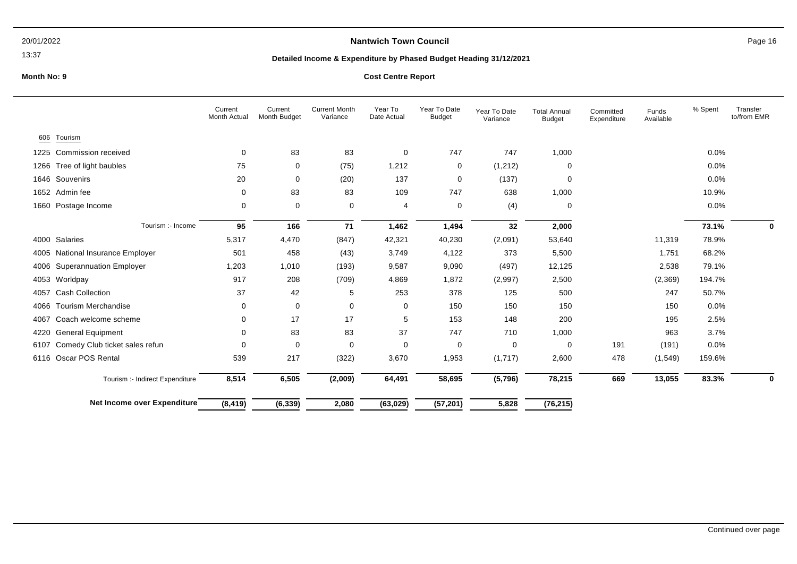### 13:37

# **Nantwich Town Council Nantwich Town Council Page 16**

## **Detailed Income & Expenditure by Phased Budget Heading 31/12/2021**

|      |                                     | Current<br>Month Actual | Current<br>Month Budget | <b>Current Month</b><br>Variance | Year To<br>Date Actual | Year To Date<br><b>Budget</b> | Year To Date<br>Variance | <b>Total Annual</b><br><b>Budget</b> | Committed<br>Expenditure | Funds<br>Available | % Spent | Transfer<br>to/from EMR |
|------|-------------------------------------|-------------------------|-------------------------|----------------------------------|------------------------|-------------------------------|--------------------------|--------------------------------------|--------------------------|--------------------|---------|-------------------------|
| 606  | Tourism                             |                         |                         |                                  |                        |                               |                          |                                      |                          |                    |         |                         |
|      | 1225 Commission received            | 0                       | 83                      | 83                               | 0                      | 747                           | 747                      | 1,000                                |                          |                    | 0.0%    |                         |
| 1266 | Tree of light baubles               | 75                      | 0                       | (75)                             | 1,212                  | 0                             | (1,212)                  | 0                                    |                          |                    | 0.0%    |                         |
|      | 1646 Souvenirs                      | 20                      | 0                       | (20)                             | 137                    | 0                             | (137)                    | $\mathbf 0$                          |                          |                    | 0.0%    |                         |
|      | 1652 Admin fee                      | 0                       | 83                      | 83                               | 109                    | 747                           | 638                      | 1,000                                |                          |                    | 10.9%   |                         |
|      | 1660 Postage Income                 | 0                       | 0                       | 0                                | 4                      | 0                             | (4)                      | 0                                    |                          |                    | 0.0%    |                         |
|      | Tourism :- Income                   | 95                      | 166                     | 71                               | 1,462                  | 1,494                         | 32                       | 2,000                                |                          |                    | 73.1%   | 0                       |
|      | 4000 Salaries                       | 5,317                   | 4,470                   | (847)                            | 42,321                 | 40,230                        | (2,091)                  | 53,640                               |                          | 11,319             | 78.9%   |                         |
|      | 4005 National Insurance Employer    | 501                     | 458                     | (43)                             | 3,749                  | 4,122                         | 373                      | 5,500                                |                          | 1,751              | 68.2%   |                         |
|      | 4006 Superannuation Employer        | 1,203                   | 1,010                   | (193)                            | 9,587                  | 9,090                         | (497)                    | 12,125                               |                          | 2,538              | 79.1%   |                         |
|      | 4053 Worldpay                       | 917                     | 208                     | (709)                            | 4,869                  | 1,872                         | (2,997)                  | 2,500                                |                          | (2,369)            | 194.7%  |                         |
|      | 4057 Cash Collection                | 37                      | 42                      | 5                                | 253                    | 378                           | 125                      | 500                                  |                          | 247                | 50.7%   |                         |
|      | 4066 Tourism Merchandise            | 0                       | 0                       | 0                                | $\mathbf 0$            | 150                           | 150                      | 150                                  |                          | 150                | 0.0%    |                         |
| 4067 | Coach welcome scheme                | 0                       | 17                      | 17                               | 5                      | 153                           | 148                      | 200                                  |                          | 195                | 2.5%    |                         |
| 4220 | <b>General Equipment</b>            | 0                       | 83                      | 83                               | 37                     | 747                           | 710                      | 1,000                                |                          | 963                | 3.7%    |                         |
|      | 6107 Comedy Club ticket sales refun | 0                       | 0                       | $\mathbf 0$                      | 0                      | 0                             | $\mathbf 0$              | $\mathbf 0$                          | 191                      | (191)              | 0.0%    |                         |
|      | 6116 Oscar POS Rental               | 539                     | 217                     | (322)                            | 3,670                  | 1,953                         | (1,717)                  | 2,600                                | 478                      | (1, 549)           | 159.6%  |                         |
|      | Tourism :- Indirect Expenditure     | 8,514                   | 6,505                   | (2,009)                          | 64,491                 | 58,695                        | (5,796)                  | 78,215                               | 669                      | 13,055             | 83.3%   | 0                       |
|      | Net Income over Expenditure         | (8, 419)                | (6, 339)                | 2,080                            | (63, 029)              | (57, 201)                     | 5,828                    | (76, 215)                            |                          |                    |         |                         |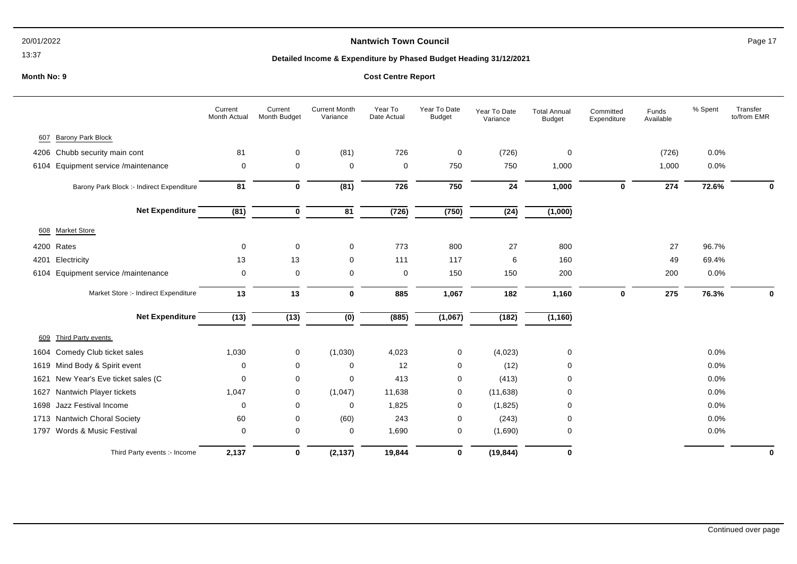### 13:37

# **Nantwich Town Council Page 17**

## **Detailed Income & Expenditure by Phased Budget Heading 31/12/2021**

|      |                                           | Current<br>Month Actual | Current<br>Month Budget | <b>Current Month</b><br>Variance | Year To<br>Date Actual | Year To Date<br><b>Budget</b> | Year To Date<br>Variance | <b>Total Annual</b><br><b>Budget</b> | Committed<br>Expenditure | Funds<br>Available | % Spent | Transfer<br>to/from EMR |
|------|-------------------------------------------|-------------------------|-------------------------|----------------------------------|------------------------|-------------------------------|--------------------------|--------------------------------------|--------------------------|--------------------|---------|-------------------------|
| 607  | Barony Park Block                         |                         |                         |                                  |                        |                               |                          |                                      |                          |                    |         |                         |
| 4206 | Chubb security main cont                  | 81                      | 0                       | (81)                             | 726                    | $\mathbf 0$                   | (726)                    | $\mathbf 0$                          |                          | (726)              | 0.0%    |                         |
| 6104 | Equipment service /maintenance            | 0                       | $\mathbf 0$             | 0                                | 0                      | 750                           | 750                      | 1,000                                |                          | 1,000              | $0.0\%$ |                         |
|      | Barony Park Block :- Indirect Expenditure | 81                      | $\mathbf 0$             | (81)                             | 726                    | 750                           | ${\bf 24}$               | 1,000                                | $\mathbf 0$              | 274                | 72.6%   | $\bf{0}$                |
|      | <b>Net Expenditure</b>                    | (81)                    | $\mathbf 0$             | $\overline{81}$                  | (726)                  | (750)                         | $\overline{(24)}$        | (1,000)                              |                          |                    |         |                         |
| 608  | <b>Market Store</b>                       |                         |                         |                                  |                        |                               |                          |                                      |                          |                    |         |                         |
|      | 4200 Rates                                | 0                       | $\mathbf 0$             | 0                                | 773                    | 800                           | 27                       | 800                                  |                          | 27                 | 96.7%   |                         |
| 4201 | Electricity                               | 13                      | 13                      | 0                                | 111                    | 117                           | 6                        | 160                                  |                          | 49                 | 69.4%   |                         |
| 6104 | Equipment service /maintenance            | 0                       | $\mathbf 0$             | 0                                | 0                      | 150                           | 150                      | 200                                  |                          | 200                | 0.0%    |                         |
|      | Market Store :- Indirect Expenditure      | 13                      | 13                      | $\mathbf 0$                      | 885                    | 1,067                         | 182                      | 1,160                                | $\mathbf 0$              | 275                | 76.3%   | $\mathbf 0$             |
|      | <b>Net Expenditure</b>                    | (13)                    | (13)                    | $\overline{(0)}$                 | (885)                  | (1,067)                       | (182)                    | (1, 160)                             |                          |                    |         |                         |
| 609  | Third Party events                        |                         |                         |                                  |                        |                               |                          |                                      |                          |                    |         |                         |
| 1604 | Comedy Club ticket sales                  | 1,030                   | 0                       | (1,030)                          | 4,023                  | 0                             | (4,023)                  | 0                                    |                          |                    | $0.0\%$ |                         |
|      | 1619 Mind Body & Spirit event             | 0                       | $\mathbf 0$             | 0                                | 12                     | 0                             | (12)                     | 0                                    |                          |                    | 0.0%    |                         |
| 1621 | New Year's Eve ticket sales (C            | 0                       | $\mathbf 0$             | 0                                | 413                    | 0                             | (413)                    | $\Omega$                             |                          |                    | 0.0%    |                         |
| 1627 | Nantwich Player tickets                   | 1,047                   | 0                       | (1,047)                          | 11,638                 | 0                             | (11, 638)                | $\Omega$                             |                          |                    | 0.0%    |                         |
| 1698 | Jazz Festival Income                      | 0                       | 0                       | 0                                | 1,825                  | 0                             | (1,825)                  | 0                                    |                          |                    | 0.0%    |                         |
|      | 1713 Nantwich Choral Society              | 60                      | 0                       | (60)                             | 243                    | 0                             | (243)                    | $\Omega$                             |                          |                    | $0.0\%$ |                         |
| 1797 | Words & Music Festival                    | 0                       | 0                       | 0                                | 1,690                  | 0                             | (1,690)                  | 0                                    |                          |                    | 0.0%    |                         |
|      | Third Party events :- Income              | 2,137                   | $\mathbf 0$             | (2, 137)                         | 19,844                 | $\mathbf{0}$                  | (19, 844)                | $\bf{0}$                             |                          |                    |         | $\mathbf 0$             |